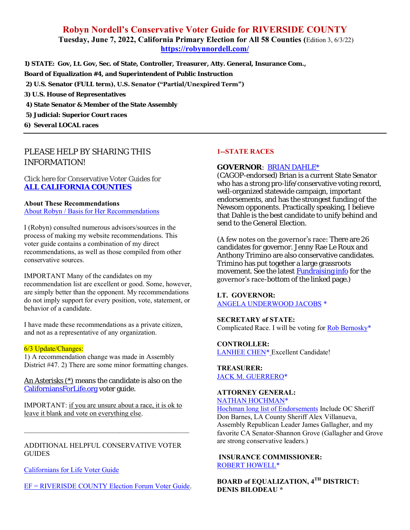# **Robyn Nordell's Conservative Voter Guide for RIVERSIDE COUNTY Tuesday, June 7, 2022, California Primary Election for All 58 Counties (**Edition 3, 6/3/22) **<https://robynnordell.com/>**

**1) STATE: Gov, Lt. Gov, Sec. of State, Controller, Treasurer, Atty. General, Insurance Com., Board of Equalization #4, and Superintendent of Public Instruction**

- **2) U.S. Senator (FULL term), U.S. Senator ("Partial/Unexpired Term")**
- **3) U.S. House of Representatives**
- **4) State Senator & Member of the State Assembly**
- **5) Judicial: Superior Court races**
- **6) Several LOCAL races**

# *PLEASE HELP BY SHARING THIS INFORMATION!*

Click here for Conservative Voter Guides for **[ALL CALIFORNIA COUNTIES](https://robynnordell.com/counties/)**

#### **About These Recommendations**

[About Robyn / Basis for Her Recommendations](https://robynnordell.com/about-robyn/)

I (Robyn) consulted numerous advisors/sources in the process of making my website recommendations. This voter guide contains a combination of my direct recommendations, as well as those compiled from other conservative sources.

IMPORTANT Many of the candidates on my recommendation list are excellent or good. Some, however, are simply better than the opponent. My recommendations do not imply support for every position, vote, statement, or behavior of a candidate.

I have made these recommendations as a private citizen, and not as a representative of any organization.

#### 6/3 Update/Changes:

1) A recommendation change was made in Assembly District #47. 2) There are some minor formatting changes.

An Asterisks (\*) means the candidate is also on the [CaliforniansForLife.org](https://californiansforlife.org/statewide-workgroups/voter-educationlegislation-and-initiatives/) voter guide.

IMPORTANT: if you are unsure about a race, it is ok to leave it blank and vote on everything else.

\_\_\_\_\_\_\_\_\_\_\_\_\_\_\_\_\_\_\_\_\_\_\_\_\_\_\_\_\_\_\_\_\_\_\_\_\_\_\_\_\_\_\_\_\_\_\_

ADDITIONAL HELPFUL CONSERVATIVE VOTER **GUIDES** 

[Californians for Life Voter Guide](https://californiansforlife.org/pro-life-voter-information/)

[EF = RIVERISDE COUNTY Election Forum Voter Guide.](https://www.electionforum.org/riverside-county/)

### **1--STATE RACES**

#### **GOVERNOR**: [BRIAN DAHLE\\*](https://briandahle.com/about-brian/)

(CAGOP-endorsed) Brian is a current State Senator who has a strong pro-life/conservative voting record, well-organized statewide campaign, important endorsements, and has the strongest funding of the Newsom opponents. Practically speaking, I believe that Dahle is the best candidate to unify behind and send to the General Election.

(A few notes on the governor's race: There are 26 candidates for governor. Jenny Rae Le Roux and Anthony Trimino are also conservative candidates. Trimino has put together a large grassroots movement. See the latest [Fundraising info](https://calmatters.org/california-voter-guide-2022/governor/) for the governor's race-bottom of the linked page.)

#### **LT. GOVERNOR:** [ANGELA UNDERWOOD JACOBS](https://www.angelaforcalifornia.com/about) \*

**SECRETARY of STATE:**  Complicated Race. I will be voting fo[r Rob Bernosky\\*](http://www.votebernosky.com/)

**CONTROLLER:**  [LANHEE CHEN\\*](https://chenforcalifornia.com/endorsements/) Excellent Candidate!

**TREASURER:** [JACK M. GUERRERO\\*](https://www.jack4treasurer.com/)

#### **ATTORNEY GENERAL:** [NATHAN HOCHMAN\\*](https://www.nathanhochman.com/)

[Hochman long list of Endorsements](https://www.nathanhochman.com/endorsements/) Include OC Sheriff Don Barnes, LA County Sheriff Alex Villanueva, Assembly Republican Leader James Gallagher, and my favorite CA Senator-Shannon Grove (Gallagher and Grove are strong conservative leaders.)

# **INSURANCE COMMISSIONER:** [ROBERT HOWELL\\*](https://electroberthowell.com/meet-robert/)

**BOARD of EQUALIZATION, 4 TH DISTRICT: DENIS BILODEAU \***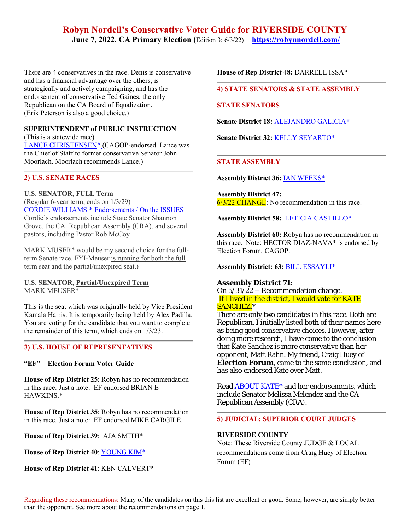# **Robyn Nordell's Conservative Voter Guide for RIVERSIDE COUNTY June 7, 2022, CA Primary Election (**Edition 3; 6/3/22) **<https://robynnordell.com/>**

There are 4 conservatives in the race. Denis is conservative and has a financial advantage over the others, is strategically and actively campaigning, and has the endorsement of conservative Ted Gaines, the only Republican on the CA Board of Equalization. (Erik Peterson is also a good choice.)

# **SUPERINTENDENT of PUBLIC INSTRUCTION**

(This is a statewide race) [LANCE CHRISTENSEN\\*](https://lancechristensen.com/endorsements) (CAGOP-endorsed. Lance was the Chief of Staff to former conservative Senator John Moorlach. Moorlach recommends Lance.)

# **2) U.S. SENATE RACES**

**U.S. SENATOR, FULL Term** (Regular 6-year term; ends on 1/3/29) [CORDIE WILLIAMS](https://www.cordie4senate.com/endorsements/) \* Endorsements [/ On the ISSUES](https://www.cordie4senate.com/issues/) Cordie's endorsements include State Senator Shannon Grove, the CA. Republican Assembly (CRA), and several pastors, including Pastor Rob McCoy

MARK MUSER\* would be my second choice for the fullterm Senate race. FYI-Meuser is running for both the full term seat and the partial/unexpired seat.)

### **U.S. SENATOR, Partial/Unexpired Term** MARK MEUSER\*

This is the seat which was originally held by Vice President Kamala Harris. It is temporarily being held by Alex Padilla. You are voting for the candidate that you want to complete the remainder of this term, which ends on 1/3/23.

# **3) U.S. HOUSE OF REPRESENTATIVES**

#### **"EF" = Election Forum Voter Guide**

**House of Rep District 25**: Robyn has no recommendation in this race. Just a note: EF endorsed BRIAN E HAWKINS.\*

**House of Rep District 35**: Robyn has no recommendation in this race. Just a note: EF endorsed MIKE CARGILE.

**House of Rep District 39**: AJA SMITH\*

**House of Rep District 40**: [YOUNG KIM\\*](https://youngkimforcongress.com/endorsements/)

**House of Rep District 41**: KEN CALVERT\*

**House of Rep District 48:** DARRELL ISSA\*

# **4) STATE SENATORS & STATE ASSEMBLY**

### **STATE SENATORS**

**Senate District 18:** [ALEJANDRO](https://votersedge.org/en/ca/ballot/election/2022-06-07/california-state-senate-district-18/alejandro-galicia) GALICIA\*

**Senate District 32:** KELLY [SEYARTO\\*](https://seyartoforsenate.com/)

# **STATE ASSEMBLY**

**Assembly District 36:** IAN [WEEKS\\*](https://ianweeksforassembly.com/)

**Assembly District 47:** 6/3/22 CHANGE: No recommendation in this race.

**Assembly District 58:** LETICIA [CASTILLO\\*](https://www.leticiacastilloforassembly.com/)

**Assembly District 60:** Robyn has no recommendation in this race. Note: HECTOR DIAZ-NAVA\* is endorsed by Election Forum, CAGOP.

### **Assembly District: 63:** [BILL ESSAYLI\\*](https://essayliforassembly.com/endorsements)

**Assembly District 71:** On 5/31/22 – Recommendation change. If I lived in the district, I would vote for KATE SANCHEZ.\*

There are only two candidates in this race. Both are Republican. I initially listed both of their names here as being good conservative choices. However, after doing more research, I have come to the conclusion that Kate Sanchez is more conservative than her opponent, Matt Rahn. My friend, Craig Huey of **Election Forum**, came to the same conclusion, and has also endorsed Kate over Matt.

Read [ABOUT KATE\\*](https://www.sanchezforassembly.com/) and her endorsements, which include Senator Melissa Melendez and the CA Republican Assembly (CRA).

#### **5) JUDICIAL: SUPERIOR COURT JUDGES**

#### **RIVERSIDE COUNTY**

Note: These Riverside County JUDGE & LOCAL recommendations come from Craig Huey of Election Forum (EF)